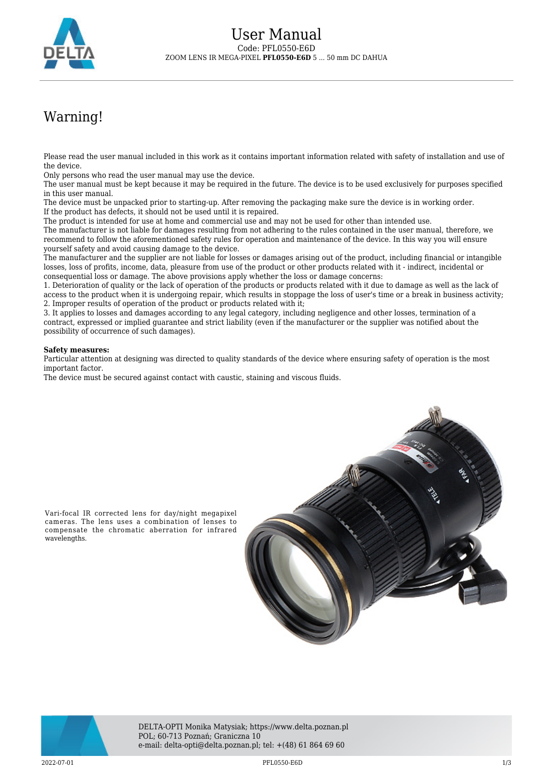

## Warning!

Please read the user manual included in this work as it contains important information related with safety of installation and use of the device.

Only persons who read the user manual may use the device.

The user manual must be kept because it may be required in the future. The device is to be used exclusively for purposes specified in this user manual.

The device must be unpacked prior to starting-up. After removing the packaging make sure the device is in working order. If the product has defects, it should not be used until it is repaired.

The product is intended for use at home and commercial use and may not be used for other than intended use.

The manufacturer is not liable for damages resulting from not adhering to the rules contained in the user manual, therefore, we recommend to follow the aforementioned safety rules for operation and maintenance of the device. In this way you will ensure yourself safety and avoid causing damage to the device.

The manufacturer and the supplier are not liable for losses or damages arising out of the product, including financial or intangible losses, loss of profits, income, data, pleasure from use of the product or other products related with it - indirect, incidental or consequential loss or damage. The above provisions apply whether the loss or damage concerns:

1. Deterioration of quality or the lack of operation of the products or products related with it due to damage as well as the lack of access to the product when it is undergoing repair, which results in stoppage the loss of user's time or a break in business activity; 2. Improper results of operation of the product or products related with it;

3. It applies to losses and damages according to any legal category, including negligence and other losses, termination of a contract, expressed or implied guarantee and strict liability (even if the manufacturer or the supplier was notified about the possibility of occurrence of such damages).

## **Safety measures:**

Particular attention at designing was directed to quality standards of the device where ensuring safety of operation is the most important factor.

The device must be secured against contact with caustic, staining and viscous fluids.



cameras. The lens uses a combination of lenses to compensate the chromatic aberration for infrared wavelengths.



2022-07-01 PFL0550-E6D 1/3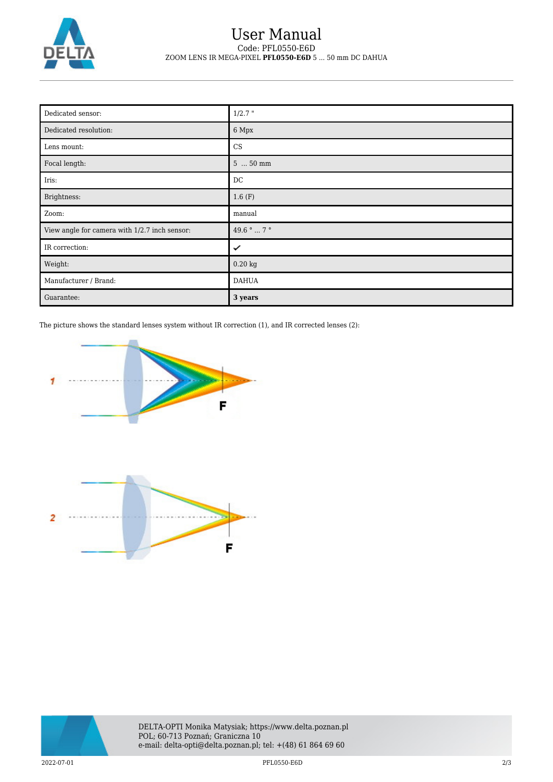

## User Manual Code: PFL0550-E6D ZOOM LENS IR MEGA-PIXEL **PFL0550-E6D** 5 ... 50 mm DC DAHUA

| Dedicated sensor:                             | $1/2.7$ "                    |
|-----------------------------------------------|------------------------------|
| Dedicated resolution:                         | 6 Mpx                        |
| Lens mount:                                   | CS                           |
| Focal length:                                 | $550$ mm                     |
| Iris:                                         | DC                           |
| Brightness:                                   | 1.6(F)                       |
| Zoom:                                         | manual                       |
| View angle for camera with 1/2.7 inch sensor: | 49.6 $^{\circ}$ 7 $^{\circ}$ |
| IR correction:                                | ✓                            |
| Weight:                                       | $0.20 \text{ kg}$            |
| Manufacturer / Brand:                         | <b>DAHUA</b>                 |
| Guarantee:                                    | 3 years                      |

The picture shows the standard lenses system without IR correction (1), and IR corrected lenses (2):